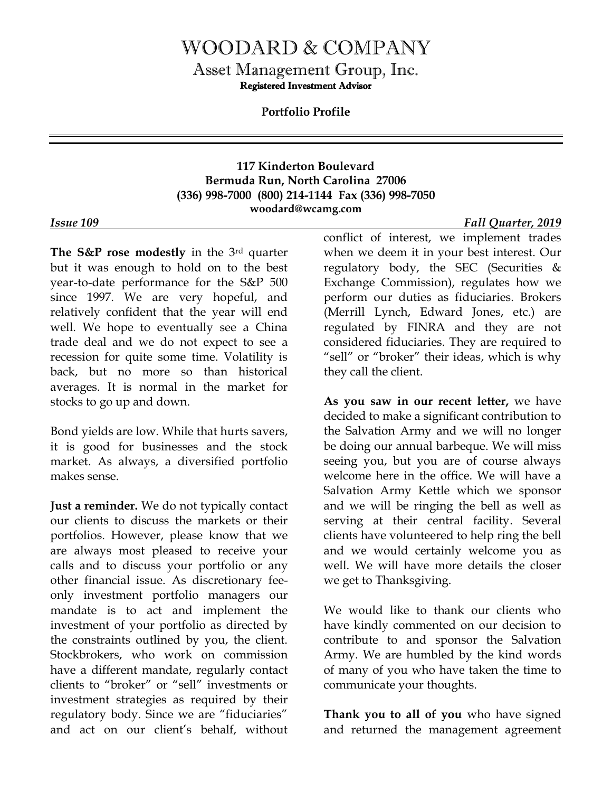## WOODARD & COMPANY

Asset Management Group, Inc.

Registered Investment Advisor

**Portfolio Profile**

## **117 Kinderton Boulevard Bermuda Run, North Carolina 27006 (336) 998-7000 (800) 214-1144 Fax (336) 998-7050 woodard@wcamg.com**

**The S&P rose modestly** in the 3rd quarter but it was enough to hold on to the best year-to-date performance for the S&P 500 since 1997. We are very hopeful, and relatively confident that the year will end well. We hope to eventually see a China trade deal and we do not expect to see a recession for quite some time. Volatility is back, but no more so than historical averages. It is normal in the market for stocks to go up and down.

Bond yields are low. While that hurts savers, it is good for businesses and the stock market. As always, a diversified portfolio makes sense.

**Just a reminder.** We do not typically contact our clients to discuss the markets or their portfolios. However, please know that we are always most pleased to receive your calls and to discuss your portfolio or any other financial issue. As discretionary feeonly investment portfolio managers our mandate is to act and implement the investment of your portfolio as directed by the constraints outlined by you, the client. Stockbrokers, who work on commission have a different mandate, regularly contact clients to "broker" or "sell" investments or investment strategies as required by their regulatory body. Since we are "fiduciaries" and act on our client's behalf, without

conflict of interest, we implement trades when we deem it in your best interest. Our regulatory body, the SEC (Securities & Exchange Commission), regulates how we perform our duties as fiduciaries. Brokers (Merrill Lynch, Edward Jones, etc.) are regulated by FINRA and they are not considered fiduciaries. They are required to "sell" or "broker" their ideas, which is why they call the client.

**As you saw in our recent letter,** we have decided to make a significant contribution to the Salvation Army and we will no longer be doing our annual barbeque. We will miss seeing you, but you are of course always welcome here in the office. We will have a Salvation Army Kettle which we sponsor and we will be ringing the bell as well as serving at their central facility. Several clients have volunteered to help ring the bell and we would certainly welcome you as well. We will have more details the closer we get to Thanksgiving.

We would like to thank our clients who have kindly commented on our decision to contribute to and sponsor the Salvation Army. We are humbled by the kind words of many of you who have taken the time to communicate your thoughts.

**Thank you to all of you** who have signed and returned the management agreement

*Issue 109 Fall Quarter, 2019*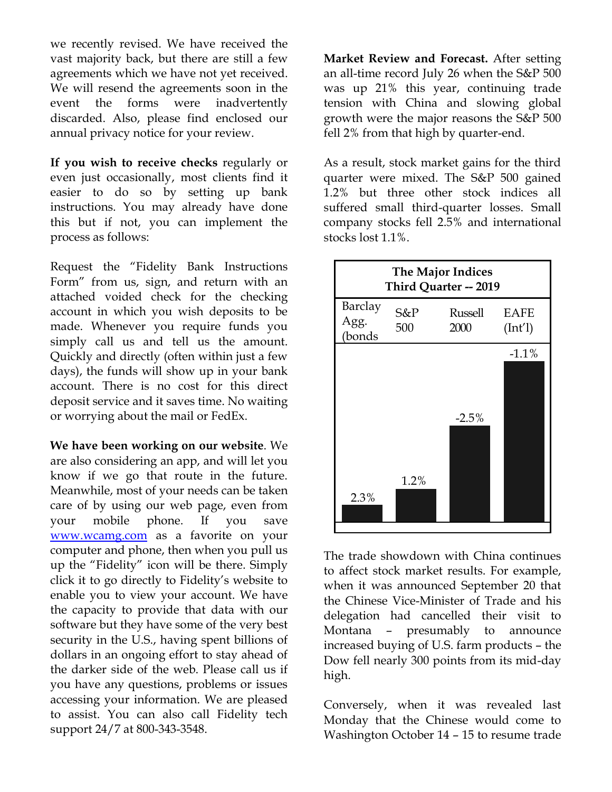we recently revised. We have received the vast majority back, but there are still a few agreements which we have not yet received. We will resend the agreements soon in the event the forms were inadvertently discarded. Also, please find enclosed our annual privacy notice for your review.

**If you wish to receive checks** regularly or even just occasionally, most clients find it easier to do so by setting up bank instructions. You may already have done this but if not, you can implement the process as follows:

Request the "Fidelity Bank Instructions Form" from us, sign, and return with an attached voided check for the checking account in which you wish deposits to be made. Whenever you require funds you simply call us and tell us the amount. Quickly and directly (often within just a few days), the funds will show up in your bank account. There is no cost for this direct deposit service and it saves time. No waiting or worrying about the mail or FedEx.

**We have been working on our website**. We are also considering an app, and will let you know if we go that route in the future. Meanwhile, most of your needs can be taken care of by using our web page, even from your mobile phone. If you save [www.wcamg.com](http://www.wcamg.com/) as a favorite on your computer and phone, then when you pull us up the "Fidelity" icon will be there. Simply click it to go directly to Fidelity's website to enable you to view your account. We have the capacity to provide that data with our software but they have some of the very best security in the U.S., having spent billions of dollars in an ongoing effort to stay ahead of the darker side of the web. Please call us if you have any questions, problems or issues accessing your information. We are pleased to assist. You can also call Fidelity tech support 24/7 at 800-343-3548.

**Market Review and Forecast.** After setting an all-time record July 26 when the S&P 500 was up 21% this year, continuing trade tension with China and slowing global growth were the major reasons the S&P 500 fell 2% from that high by quarter-end.

As a result, stock market gains for the third quarter were mixed. The S&P 500 gained 1.2% but three other stock indices all suffered small third-quarter losses. Small company stocks fell 2.5% and international stocks lost 1.1%.



The trade showdown with China continues to affect stock market results. For example, when it was announced September 20 that the Chinese Vice-Minister of Trade and his delegation had cancelled their visit to Montana – presumably to announce increased buying of U.S. farm products – the Dow fell nearly 300 points from its mid-day high.

Conversely, when it was revealed last Monday that the Chinese would come to Washington October 14 – 15 to resume trade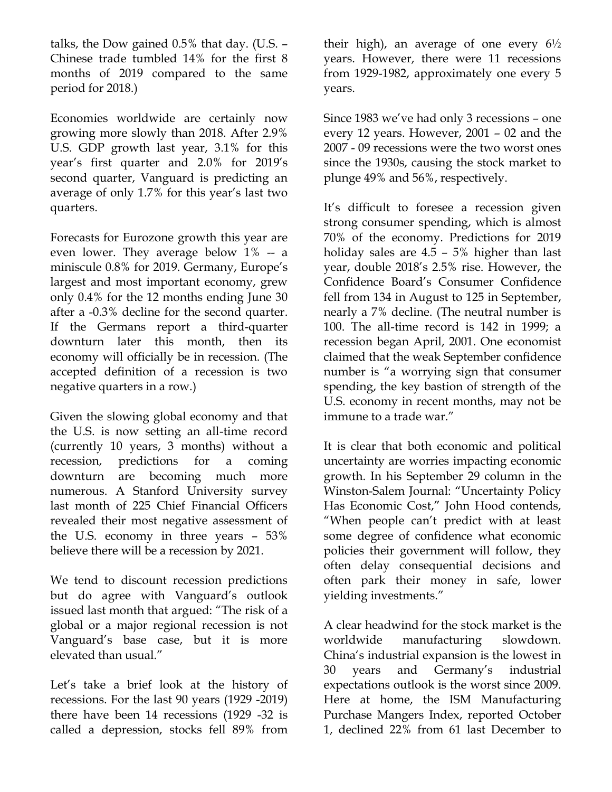talks, the Dow gained 0.5% that day. (U.S. – Chinese trade tumbled 14% for the first 8 months of 2019 compared to the same period for 2018.)

Economies worldwide are certainly now growing more slowly than 2018. After 2.9% U.S. GDP growth last year, 3.1% for this year's first quarter and 2.0% for 2019's second quarter, Vanguard is predicting an average of only 1.7% for this year's last two quarters.

Forecasts for Eurozone growth this year are even lower. They average below 1% -- a miniscule 0.8% for 2019. Germany, Europe's largest and most important economy, grew only 0.4% for the 12 months ending June 30 after a -0.3% decline for the second quarter. If the Germans report a third-quarter downturn later this month, then its economy will officially be in recession. (The accepted definition of a recession is two negative quarters in a row.)

Given the slowing global economy and that the U.S. is now setting an all-time record (currently 10 years, 3 months) without a recession, predictions for a coming downturn are becoming much more numerous. A Stanford University survey last month of 225 Chief Financial Officers revealed their most negative assessment of the U.S. economy in three years – 53% believe there will be a recession by 2021.

We tend to discount recession predictions but do agree with Vanguard's outlook issued last month that argued: "The risk of a global or a major regional recession is not Vanguard's base case, but it is more elevated than usual."

Let's take a brief look at the history of recessions. For the last 90 years (1929 -2019) there have been 14 recessions (1929 -32 is called a depression, stocks fell 89% from

their high), an average of one every  $6\frac{1}{2}$ years. However, there were 11 recessions from 1929-1982, approximately one every 5 years.

Since 1983 we've had only 3 recessions – one every 12 years. However, 2001 – 02 and the 2007 - 09 recessions were the two worst ones since the 1930s, causing the stock market to plunge 49% and 56%, respectively.

It's difficult to foresee a recession given strong consumer spending, which is almost 70% of the economy. Predictions for 2019 holiday sales are 4.5 – 5% higher than last year, double 2018's 2.5% rise. However, the Confidence Board's Consumer Confidence fell from 134 in August to 125 in September, nearly a 7% decline. (The neutral number is 100. The all-time record is 142 in 1999; a recession began April, 2001. One economist claimed that the weak September confidence number is "a worrying sign that consumer spending, the key bastion of strength of the U.S. economy in recent months, may not be immune to a trade war."

It is clear that both economic and political uncertainty are worries impacting economic growth. In his September 29 column in the Winston-Salem Journal: "Uncertainty Policy Has Economic Cost," John Hood contends, "When people can't predict with at least some degree of confidence what economic policies their government will follow, they often delay consequential decisions and often park their money in safe, lower yielding investments."

A clear headwind for the stock market is the worldwide manufacturing slowdown. China's industrial expansion is the lowest in 30 years and Germany's industrial expectations outlook is the worst since 2009. Here at home, the ISM Manufacturing Purchase Mangers Index, reported October 1, declined 22% from 61 last December to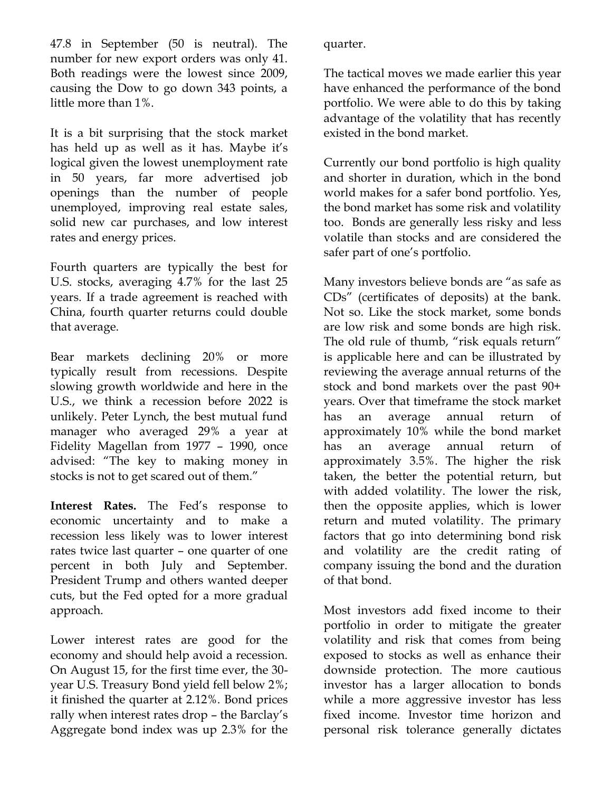47.8 in September (50 is neutral). The number for new export orders was only 41. Both readings were the lowest since 2009, causing the Dow to go down 343 points, a little more than 1%.

It is a bit surprising that the stock market has held up as well as it has. Maybe it's logical given the lowest unemployment rate in 50 years, far more advertised job openings than the number of people unemployed, improving real estate sales, solid new car purchases, and low interest rates and energy prices.

Fourth quarters are typically the best for U.S. stocks, averaging 4.7% for the last 25 years. If a trade agreement is reached with China, fourth quarter returns could double that average.

Bear markets declining 20% or more typically result from recessions. Despite slowing growth worldwide and here in the U.S., we think a recession before 2022 is unlikely. Peter Lynch, the best mutual fund manager who averaged 29% a year at Fidelity Magellan from 1977 – 1990, once advised: "The key to making money in stocks is not to get scared out of them."

**Interest Rates.** The Fed's response to economic uncertainty and to make a recession less likely was to lower interest rates twice last quarter – one quarter of one percent in both July and September. President Trump and others wanted deeper cuts, but the Fed opted for a more gradual approach.

Lower interest rates are good for the economy and should help avoid a recession. On August 15, for the first time ever, the 30 year U.S. Treasury Bond yield fell below 2%; it finished the quarter at 2.12%. Bond prices rally when interest rates drop – the Barclay's Aggregate bond index was up 2.3% for the

quarter.

The tactical moves we made earlier this year have enhanced the performance of the bond portfolio. We were able to do this by taking advantage of the volatility that has recently existed in the bond market.

Currently our bond portfolio is high quality and shorter in duration, which in the bond world makes for a safer bond portfolio. Yes, the bond market has some risk and volatility too. Bonds are generally less risky and less volatile than stocks and are considered the safer part of one's portfolio.

Many investors believe bonds are "as safe as CDs" (certificates of deposits) at the bank. Not so. Like the stock market, some bonds are low risk and some bonds are high risk. The old rule of thumb, "risk equals return" is applicable here and can be illustrated by reviewing the average annual returns of the stock and bond markets over the past 90+ years. Over that timeframe the stock market has an average annual return of approximately 10% while the bond market has an average annual return of approximately 3.5%. The higher the risk taken, the better the potential return, but with added volatility. The lower the risk, then the opposite applies, which is lower return and muted volatility. The primary factors that go into determining bond risk and volatility are the credit rating of company issuing the bond and the duration of that bond.

Most investors add fixed income to their portfolio in order to mitigate the greater volatility and risk that comes from being exposed to stocks as well as enhance their downside protection. The more cautious investor has a larger allocation to bonds while a more aggressive investor has less fixed income. Investor time horizon and personal risk tolerance generally dictates